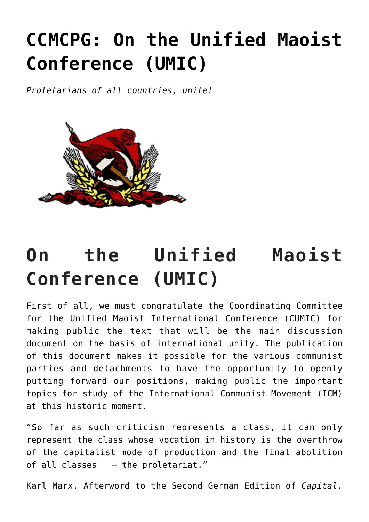# **[CCMCPG: On the Unified Maoist](https://ci-ic.org/blog/2022/06/08/ccmcpg-on-the-unified-maoist-conference-umic/) [Conference \(UMIC\)](https://ci-ic.org/blog/2022/06/08/ccmcpg-on-the-unified-maoist-conference-umic/)**

*Proletarians of all countries, unite!*



## **On the Unified Maoist Conference (UMIC)**

First of all, we must congratulate the Coordinating Committee for the Unified Maoist International Conference (CUMIC) for making public the text that will be the main discussion document on the basis of international unity. The publication of this document makes it possible for the various communist parties and detachments to have the opportunity to openly putting forward our positions, making public the important topics for study of the International Communist Movement (ICM) at this historic moment.

"So far as such criticism represents a class, it can only represent the class whose vocation in history is the overthrow of the capitalist mode of production and the final abolition of all classes - the proletariat."

Karl Marx. Afterword to the Second German Edition of *Capital*.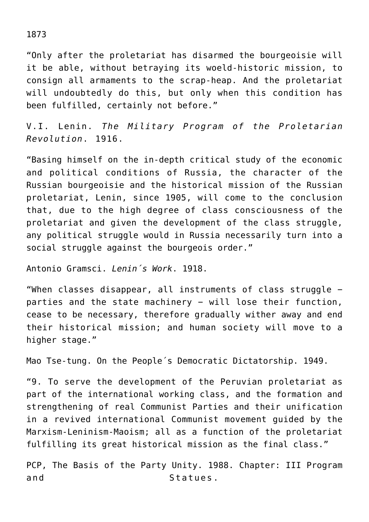"Only after the proletariat has disarmed the bourgeoisie will it be able, without betraying its woeld-historic mission, to consign all armaments to the scrap-heap. And the proletariat will undoubtedly do this, but only when this condition has been fulfilled, certainly not before."

V.I. Lenin. *The Military Program of the Proletarian Revolution*. 1916.

"Basing himself on the in-depth critical study of the economic and political conditions of Russia, the character of the Russian bourgeoisie and the historical mission of the Russian proletariat, Lenin, since 1905, will come to the conclusion that, due to the high degree of class consciousness of the proletariat and given the development of the class struggle, any political struggle would in Russia necessarily turn into a social struggle against the bourgeois order."

Antonio Gramsci. *Lenin´s Work*. 1918.

"When classes disappear, all instruments of class struggle − parties and the state machinery – will lose their function, cease to be necessary, therefore gradually wither away and end their historical mission; and human society will move to a higher stage."

Mao Tse-tung. On the People´s Democratic Dictatorship. 1949.

"9. To serve the development of the Peruvian proletariat as part of the international working class, and the formation and strengthening of real Communist Parties and their unification in a revived international Communist movement guided by the Marxism-Leninism-Maoism; all as a function of the proletariat fulfilling its great historical mission as the final class."

PCP, The Basis of the Party Unity. 1988. Chapter: III Program and Statues.

1873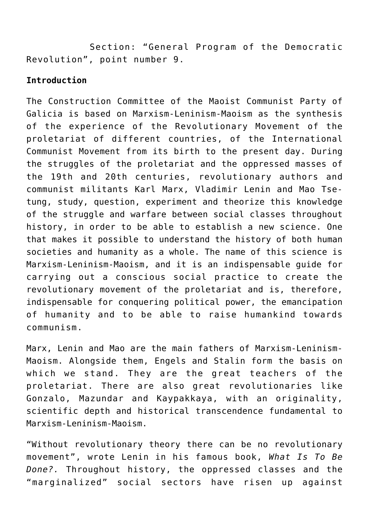Section: "General Program of the Democratic Revolution", point number 9.

#### **Introduction**

The Construction Committee of the Maoist Communist Party of Galicia is based on Marxism-Leninism-Maoism as the synthesis of the experience of the Revolutionary Movement of the proletariat of different countries, of the International Communist Movement from its birth to the present day. During the struggles of the proletariat and the oppressed masses of the 19th and 20th centuries, revolutionary authors and communist militants Karl Marx, Vladimir Lenin and Mao Tsetung, study, question, experiment and theorize this knowledge of the struggle and warfare between social classes throughout history, in order to be able to establish a new science. One that makes it possible to understand the history of both human societies and humanity as a whole. The name of this science is Marxism-Leninism-Maoism, and it is an indispensable guide for carrying out a conscious social practice to create the revolutionary movement of the proletariat and is, therefore, indispensable for conquering political power, the emancipation of humanity and to be able to raise humankind towards communism.

Marx, Lenin and Mao are the main fathers of Marxism-Leninism-Maoism. Alongside them, Engels and Stalin form the basis on which we stand. They are the great teachers of the proletariat. There are also great revolutionaries like Gonzalo, Mazundar and Kaypakkaya, with an originality, scientific depth and historical transcendence fundamental to Marxism-Leninism-Maoism.

"Without revolutionary theory there can be no revolutionary movement", wrote Lenin in his famous book, *What Is To Be Done?.* Throughout history, the oppressed classes and the "marginalized" social sectors have risen up against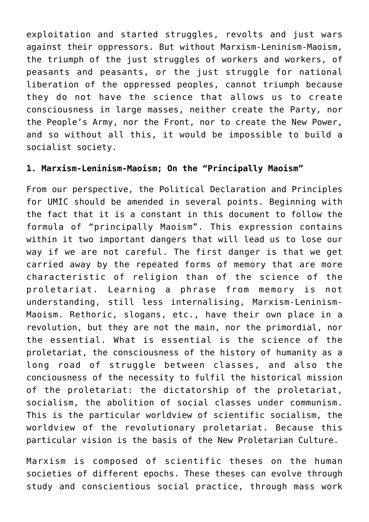exploitation and started struggles, revolts and just wars against their oppressors. But without Marxism-Leninism-Maoism, the triumph of the just struggles of workers and workers, of peasants and peasants, or the just struggle for national liberation of the oppressed peoples, cannot triumph because they do not have the science that allows us to create consciousness in large masses, neither create the Party, nor the People's Army, nor the Front, nor to create the New Power, and so without all this, it would be impossible to build a socialist society.

## **1. Marxism-Leninism-Maoism; On the "Principally Maoism"**

From our perspective, the Political Declaration and Principles for UMIC should be amended in several points. Beginning with the fact that it is a constant in this document to follow the formula of "principally Maoism". This expression contains within it two important dangers that will lead us to lose our way if we are not careful. The first danger is that we get carried away by the repeated forms of memory that are more characteristic of religion than of the science of the proletariat. Learning a phrase from memory is not understanding, still less internalising, Marxism-Leninism-Maoism. Rethoric, slogans, etc., have their own place in a revolution, but they are not the main, nor the primordial, nor the essential. What is essential is the science of the proletariat, the consciousness of the history of humanity as a long road of struggle between classes, and also the conciousness of the necessity to fulfil the historical mission of the proletariat: the dictatorship of the proletariat, socialism, the abolition of social classes under communism. This is the particular worldview of scientific socialism, the worldview of the revolutionary proletariat. Because this particular vision is the basis of the New Proletarian Culture.

Marxism is composed of scientific theses on the human societies of different epochs. These theses can evolve through study and conscientious social practice, through mass work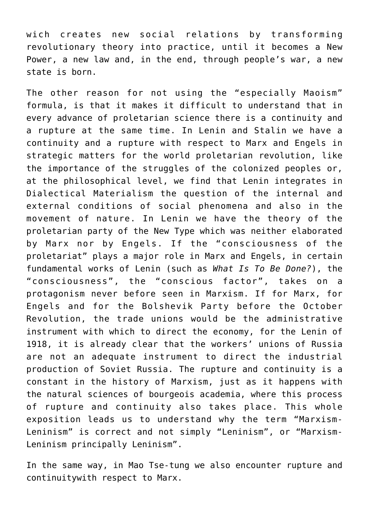wich creates new social relations by transforming revolutionary theory into practice, until it becomes a New Power, a new law and, in the end, through people's war, a new state is born.

The other reason for not using the "especially Maoism" formula, is that it makes it difficult to understand that in every advance of proletarian science there is a continuity and a rupture at the same time. In Lenin and Stalin we have a continuity and a rupture with respect to Marx and Engels in strategic matters for the world proletarian revolution, like the importance of the struggles of the colonized peoples or, at the philosophical level, we find that Lenin integrates in Dialectical Materialism the question of the internal and external conditions of social phenomena and also in the movement of nature. In Lenin we have the theory of the proletarian party of the New Type which was neither elaborated by Marx nor by Engels. If the "consciousness of the proletariat" plays a major role in Marx and Engels, in certain fundamental works of Lenin (such as *What Is To Be Done?*), the "consciousness", the "conscious factor", takes on a protagonism never before seen in Marxism. If for Marx, for Engels and for the Bolshevik Party before the October Revolution, the trade unions would be the administrative instrument with which to direct the economy, for the Lenin of 1918, it is already clear that the workers' unions of Russia are not an adequate instrument to direct the industrial production of Soviet Russia. The rupture and continuity is a constant in the history of Marxism, just as it happens with the natural sciences of bourgeois academia, where this process of rupture and continuity also takes place. This whole exposition leads us to understand why the term "Marxism-Leninism" is correct and not simply "Leninism", or "Marxism-Leninism principally Leninism".

In the same way, in Mao Tse-tung we also encounter rupture and continuitywith respect to Marx.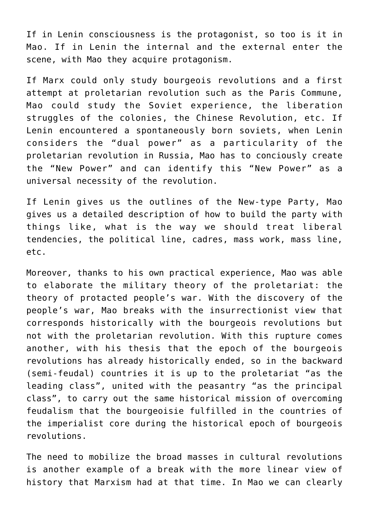If in Lenin consciousness is the protagonist, so too is it in Mao. If in Lenin the internal and the external enter the scene, with Mao they acquire protagonism.

If Marx could only study bourgeois revolutions and a first attempt at proletarian revolution such as the Paris Commune, Mao could study the Soviet experience, the liberation struggles of the colonies, the Chinese Revolution, etc. If Lenin encountered a spontaneously born soviets, when Lenin considers the "dual power" as a particularity of the proletarian revolution in Russia, Mao has to conciously create the "New Power" and can identify this "New Power" as a universal necessity of the revolution.

If Lenin gives us the outlines of the New-type Party, Mao gives us a detailed description of how to build the party with things like, what is the way we should treat liberal tendencies, the political line, cadres, mass work, mass line, etc.

Moreover, thanks to his own practical experience, Mao was able to elaborate the military theory of the proletariat: the theory of protacted people's war. With the discovery of the people's war, Mao breaks with the insurrectionist view that corresponds historically with the bourgeois revolutions but not with the proletarian revolution. With this rupture comes another, with his thesis that the epoch of the bourgeois revolutions has already historically ended, so in the backward (semi-feudal) countries it is up to the proletariat "as the leading class", united with the peasantry "as the principal class", to carry out the same historical mission of overcoming feudalism that the bourgeoisie fulfilled in the countries of the imperialist core during the historical epoch of bourgeois revolutions.

The need to mobilize the broad masses in cultural revolutions is another example of a break with the more linear view of history that Marxism had at that time. In Mao we can clearly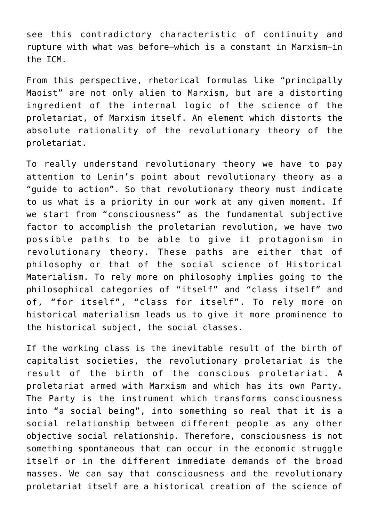see this contradictory characteristic of continuity and rupture with what was before−which is a constant in Marxism−in the ICM.

From this perspective, rhetorical formulas like "principally Maoist" are not only alien to Marxism, but are a distorting ingredient of the internal logic of the science of the proletariat, of Marxism itself. An element which distorts the absolute rationality of the revolutionary theory of the proletariat.

To really understand revolutionary theory we have to pay attention to Lenin's point about revolutionary theory as a "guide to action". So that revolutionary theory must indicate to us what is a priority in our work at any given moment. If we start from "consciousness" as the fundamental subjective factor to accomplish the proletarian revolution, we have two possible paths to be able to give it protagonism in revolutionary theory. These paths are either that of philosophy or that of the social science of Historical Materialism. To rely more on philosophy implies going to the philosophical categories of "itself" and "class itself" and of, "for itself", "class for itself". To rely more on historical materialism leads us to give it more prominence to the historical subject, the social classes.

If the working class is the inevitable result of the birth of capitalist societies, the revolutionary proletariat is the result of the birth of the conscious proletariat. A proletariat armed with Marxism and which has its own Party. The Party is the instrument which transforms consciousness into "a social being", into something so real that it is a social relationship between different people as any other objective social relationship. Therefore, consciousness is not something spontaneous that can occur in the economic struggle itself or in the different immediate demands of the broad masses. We can say that consciousness and the revolutionary proletariat itself are a historical creation of the science of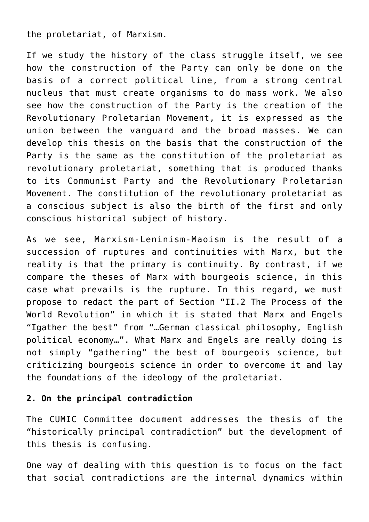the proletariat, of Marxism.

If we study the history of the class struggle itself, we see how the construction of the Party can only be done on the basis of a correct political line, from a strong central nucleus that must create organisms to do mass work. We also see how the construction of the Party is the creation of the Revolutionary Proletarian Movement, it is expressed as the union between the vanguard and the broad masses. We can develop this thesis on the basis that the construction of the Party is the same as the constitution of the proletariat as revolutionary proletariat, something that is produced thanks to its Communist Party and the Revolutionary Proletarian Movement. The constitution of the revolutionary proletariat as a conscious subject is also the birth of the first and only conscious historical subject of history.

As we see, Marxism-Leninism-Maoism is the result of a succession of ruptures and continuities with Marx, but the reality is that the primary is continuity. By contrast, if we compare the theses of Marx with bourgeois science, in this case what prevails is the rupture. In this regard, we must propose to redact the part of Section "II.2 The Process of the World Revolution" in which it is stated that Marx and Engels "Igather the best" from "…German classical philosophy, English political economy…". What Marx and Engels are really doing is not simply "gathering" the best of bourgeois science, but criticizing bourgeois science in order to overcome it and lay the foundations of the ideology of the proletariat.

## **2. On the principal contradiction**

The CUMIC Committee document addresses the thesis of the "historically principal contradiction" but the development of this thesis is confusing.

One way of dealing with this question is to focus on the fact that social contradictions are the internal dynamics within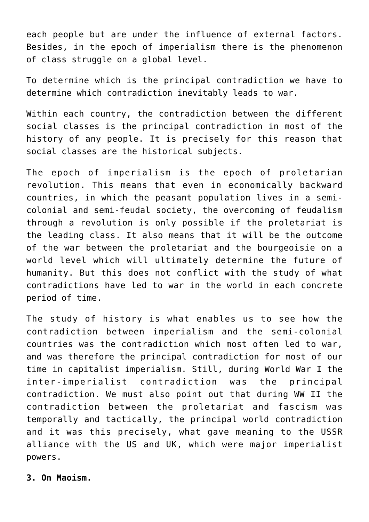each people but are under the influence of external factors. Besides, in the epoch of imperialism there is the phenomenon of class struggle on a global level.

To determine which is the principal contradiction we have to determine which contradiction inevitably leads to war.

Within each country, the contradiction between the different social classes is the principal contradiction in most of the history of any people. It is precisely for this reason that social classes are the historical subjects.

The epoch of imperialism is the epoch of proletarian revolution. This means that even in economically backward countries, in which the peasant population lives in a semicolonial and semi-feudal society, the overcoming of feudalism through a revolution is only possible if the proletariat is the leading class. It also means that it will be the outcome of the war between the proletariat and the bourgeoisie on a world level which will ultimately determine the future of humanity. But this does not conflict with the study of what contradictions have led to war in the world in each concrete period of time.

The study of history is what enables us to see how the contradiction between imperialism and the semi-colonial countries was the contradiction which most often led to war, and was therefore the principal contradiction for most of our time in capitalist imperialism. Still, during World War I the inter-imperialist contradiction was the principal contradiction. We must also point out that during WW II the contradiction between the proletariat and fascism was temporally and tactically, the principal world contradiction and it was this precisely, what gave meaning to the USSR alliance with the US and UK, which were major imperialist powers.

**3. On Maoism.**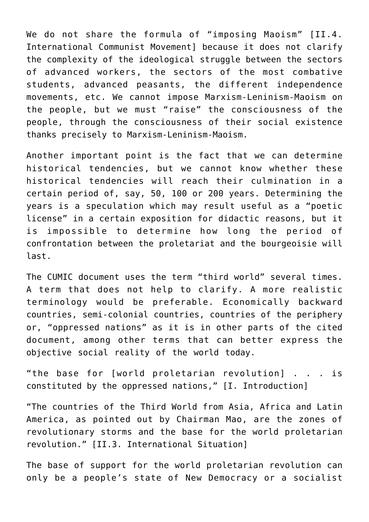We do not share the formula of "imposing Maoism" [II.4. International Communist Movement] because it does not clarify the complexity of the ideological struggle between the sectors of advanced workers, the sectors of the most combative students, advanced peasants, the different independence movements, etc. We cannot impose Marxism-Leninism-Maoism on the people, but we must "raise" the consciousness of the people, through the consciousness of their social existence thanks precisely to Marxism-Leninism-Maoism.

Another important point is the fact that we can determine historical tendencies, but we cannot know whether these historical tendencies will reach their culmination in a certain period of, say, 50, 100 or 200 years. Determining the years is a speculation which may result useful as a "poetic license" in a certain exposition for didactic reasons, but it is impossible to determine how long the period of confrontation between the proletariat and the bourgeoisie will last.

The CUMIC document uses the term "third world" several times. A term that does not help to clarify. A more realistic terminology would be preferable. Economically backward countries, semi-colonial countries, countries of the periphery or, "oppressed nations" as it is in other parts of the cited document, among other terms that can better express the objective social reality of the world today.

"the base for [world proletarian revolution] . . . is constituted by the oppressed nations," [I. Introduction]

"The countries of the Third World from Asia, Africa and Latin America, as pointed out by Chairman Mao, are the zones of revolutionary storms and the base for the world proletarian revolution." [II.3. International Situation]

The base of support for the world proletarian revolution can only be a people's state of New Democracy or a socialist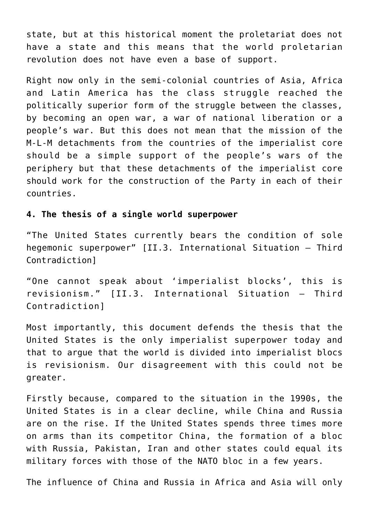state, but at this historical moment the proletariat does not have a state and this means that the world proletarian revolution does not have even a base of support.

Right now only in the semi-colonial countries of Asia, Africa and Latin America has the class struggle reached the politically superior form of the struggle between the classes, by becoming an open war, a war of national liberation or a people's war. But this does not mean that the mission of the M-L-M detachments from the countries of the imperialist core should be a simple support of the people's wars of the periphery but that these detachments of the imperialist core should work for the construction of the Party in each of their countries.

#### **4. The thesis of a single world superpower**

"The United States currently bears the condition of sole hegemonic superpower" [II.3. International Situation – Third Contradiction]

"One cannot speak about 'imperialist blocks', this is revisionism." [II.3. International Situation – Third Contradiction]

Most importantly, this document defends the thesis that the United States is the only imperialist superpower today and that to argue that the world is divided into imperialist blocs is revisionism. Our disagreement with this could not be greater.

Firstly because, compared to the situation in the 1990s, the United States is in a clear decline, while China and Russia are on the rise. If the United States spends three times more on arms than its competitor China, the formation of a bloc with Russia, Pakistan, Iran and other states could equal its military forces with those of the NATO bloc in a few years.

The influence of China and Russia in Africa and Asia will only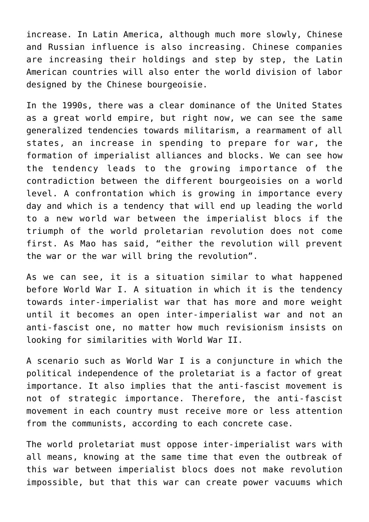increase. In Latin America, although much more slowly, Chinese and Russian influence is also increasing. Chinese companies are increasing their holdings and step by step, the Latin American countries will also enter the world division of labor designed by the Chinese bourgeoisie.

In the 1990s, there was a clear dominance of the United States as a great world empire, but right now, we can see the same generalized tendencies towards militarism, a rearmament of all states, an increase in spending to prepare for war, the formation of imperialist alliances and blocks. We can see how the tendency leads to the growing importance of the contradiction between the different bourgeoisies on a world level. A confrontation which is growing in importance every day and which is a tendency that will end up leading the world to a new world war between the imperialist blocs if the triumph of the world proletarian revolution does not come first. As Mao has said, "either the revolution will prevent the war or the war will bring the revolution".

As we can see, it is a situation similar to what happened before World War I. A situation in which it is the tendency towards inter-imperialist war that has more and more weight until it becomes an open inter-imperialist war and not an anti-fascist one, no matter how much revisionism insists on looking for similarities with World War II.

A scenario such as World War I is a conjuncture in which the political independence of the proletariat is a factor of great importance. It also implies that the anti-fascist movement is not of strategic importance. Therefore, the anti-fascist movement in each country must receive more or less attention from the communists, according to each concrete case.

The world proletariat must oppose inter-imperialist wars with all means, knowing at the same time that even the outbreak of this war between imperialist blocs does not make revolution impossible, but that this war can create power vacuums which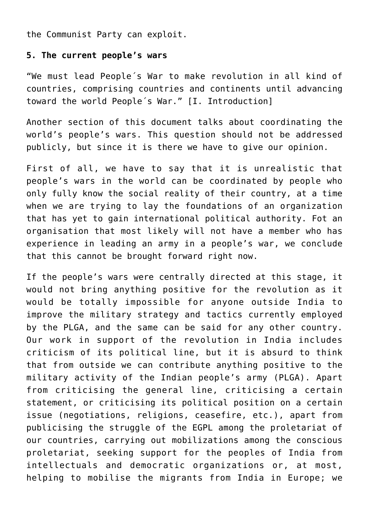the Communist Party can exploit.

#### **5. The current people's wars**

"We must lead People´s War to make revolution in all kind of countries, comprising countries and continents until advancing toward the world People´s War." [I. Introduction]

Another section of this document talks about coordinating the world's people's wars. This question should not be addressed publicly, but since it is there we have to give our opinion.

First of all, we have to say that it is unrealistic that people's wars in the world can be coordinated by people who only fully know the social reality of their country, at a time when we are trying to lay the foundations of an organization that has yet to gain international political authority. Fot an organisation that most likely will not have a member who has experience in leading an army in a people's war, we conclude that this cannot be brought forward right now.

If the people's wars were centrally directed at this stage, it would not bring anything positive for the revolution as it would be totally impossible for anyone outside India to improve the military strategy and tactics currently employed by the PLGA, and the same can be said for any other country. Our work in support of the revolution in India includes criticism of its political line, but it is absurd to think that from outside we can contribute anything positive to the military activity of the Indian people's army (PLGA). Apart from criticising the general line, criticising a certain statement, or criticising its political position on a certain issue (negotiations, religions, ceasefire, etc.), apart from publicising the struggle of the EGPL among the proletariat of our countries, carrying out mobilizations among the conscious proletariat, seeking support for the peoples of India from intellectuals and democratic organizations or, at most, helping to mobilise the migrants from India in Europe; we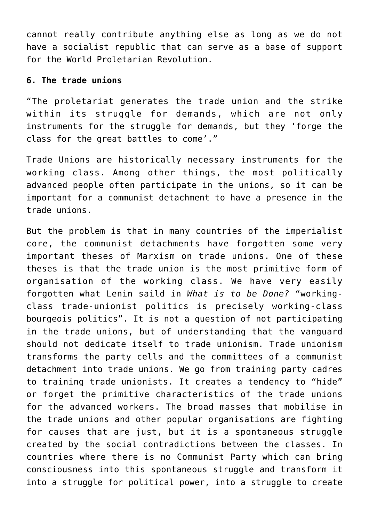cannot really contribute anything else as long as we do not have a socialist republic that can serve as a base of support for the World Proletarian Revolution.

#### **6. The trade unions**

"The proletariat generates the trade union and the strike within its struggle for demands, which are not only instruments for the struggle for demands, but they 'forge the class for the great battles to come'."

Trade Unions are historically necessary instruments for the working class. Among other things, the most politically advanced people often participate in the unions, so it can be important for a communist detachment to have a presence in the trade unions.

But the problem is that in many countries of the imperialist core, the communist detachments have forgotten some very important theses of Marxism on trade unions. One of these theses is that the trade union is the most primitive form of organisation of the working class. We have very easily forgotten what Lenin saild in *What is to be Done?* "workingclass trade-unionist politics is precisely working-class bourgeois politics". It is not a question of not participating in the trade unions, but of understanding that the vanguard should not dedicate itself to trade unionism. Trade unionism transforms the party cells and the committees of a communist detachment into trade unions. We go from training party cadres to training trade unionists. It creates a tendency to "hide" or forget the primitive characteristics of the trade unions for the advanced workers. The broad masses that mobilise in the trade unions and other popular organisations are fighting for causes that are just, but it is a spontaneous struggle created by the social contradictions between the classes. In countries where there is no Communist Party which can bring consciousness into this spontaneous struggle and transform it into a struggle for political power, into a struggle to create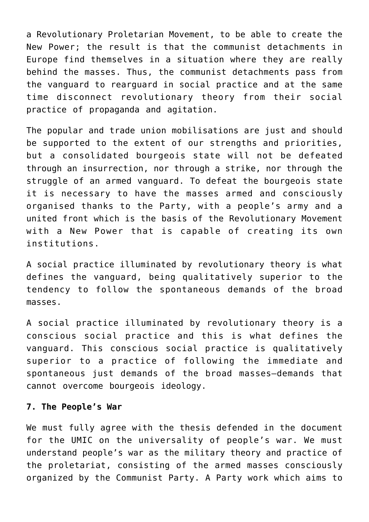a Revolutionary Proletarian Movement, to be able to create the New Power; the result is that the communist detachments in Europe find themselves in a situation where they are really behind the masses. Thus, the communist detachments pass from the vanguard to rearguard in social practice and at the same time disconnect revolutionary theory from their social practice of propaganda and agitation.

The popular and trade union mobilisations are just and should be supported to the extent of our strengths and priorities, but a consolidated bourgeois state will not be defeated through an insurrection, nor through a strike, nor through the struggle of an armed vanguard. To defeat the bourgeois state it is necessary to have the masses armed and consciously organised thanks to the Party, with a people's army and a united front which is the basis of the Revolutionary Movement with a New Power that is capable of creating its own institutions.

A social practice illuminated by revolutionary theory is what defines the vanguard, being qualitatively superior to the tendency to follow the spontaneous demands of the broad masses.

A social practice illuminated by revolutionary theory is a conscious social practice and this is what defines the vanguard. This conscious social practice is qualitatively superior to a practice of following the immediate and spontaneous just demands of the broad masses—demands that cannot overcome bourgeois ideology.

#### **7. The People's War**

We must fully agree with the thesis defended in the document for the UMIC on the universality of people's war. We must understand people's war as the military theory and practice of the proletariat, consisting of the armed masses consciously organized by the Communist Party. A Party work which aims to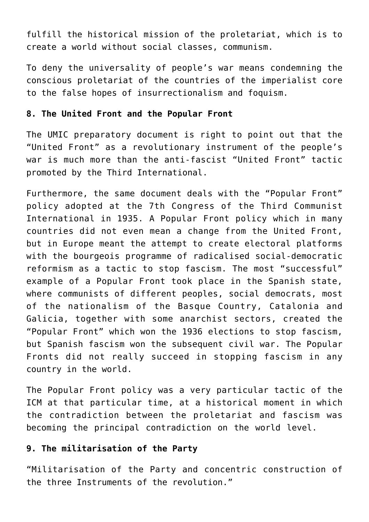fulfill the historical mission of the proletariat, which is to create a world without social classes, communism.

To deny the universality of people's war means condemning the conscious proletariat of the countries of the imperialist core to the false hopes of insurrectionalism and foquism.

### **8. The United Front and the Popular Front**

The UMIC preparatory document is right to point out that the "United Front" as a revolutionary instrument of the people's war is much more than the anti-fascist "United Front" tactic promoted by the Third International.

Furthermore, the same document deals with the "Popular Front" policy adopted at the 7th Congress of the Third Communist International in 1935. A Popular Front policy which in many countries did not even mean a change from the United Front, but in Europe meant the attempt to create electoral platforms with the bourgeois programme of radicalised social-democratic reformism as a tactic to stop fascism. The most "successful" example of a Popular Front took place in the Spanish state, where communists of different peoples, social democrats, most of the nationalism of the Basque Country, Catalonia and Galicia, together with some anarchist sectors, created the "Popular Front" which won the 1936 elections to stop fascism, but Spanish fascism won the subsequent civil war. The Popular Fronts did not really succeed in stopping fascism in any country in the world.

The Popular Front policy was a very particular tactic of the ICM at that particular time, at a historical moment in which the contradiction between the proletariat and fascism was becoming the principal contradiction on the world level.

## **9. The militarisation of the Party**

"Militarisation of the Party and concentric construction of the three Instruments of the revolution."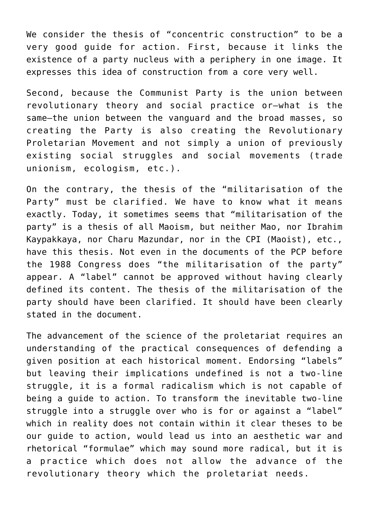We consider the thesis of "concentric construction" to be a very good guide for action. First, because it links the existence of a party nucleus with a periphery in one image. It expresses this idea of construction from a core very well.

Second, because the Communist Party is the union between revolutionary theory and social practice or—what is the same—the union between the vanguard and the broad masses, so creating the Party is also creating the Revolutionary Proletarian Movement and not simply a union of previously existing social struggles and social movements (trade unionism, ecologism, etc.).

On the contrary, the thesis of the "militarisation of the Party" must be clarified. We have to know what it means exactly. Today, it sometimes seems that "militarisation of the party" is a thesis of all Maoism, but neither Mao, nor Ibrahim Kaypakkaya, nor Charu Mazundar, nor in the CPI (Maoist), etc., have this thesis. Not even in the documents of the PCP before the 1988 Congress does "the militarisation of the party" appear. A "label" cannot be approved without having clearly defined its content. The thesis of the militarisation of the party should have been clarified. It should have been clearly stated in the document.

The advancement of the science of the proletariat requires an understanding of the practical consequences of defending a given position at each historical moment. Endorsing "labels" but leaving their implications undefined is not a two-line struggle, it is a formal radicalism which is not capable of being a guide to action. To transform the inevitable two-line struggle into a struggle over who is for or against a "label" which in reality does not contain within it clear theses to be our guide to action, would lead us into an aesthetic war and rhetorical "formulae" which may sound more radical, but it is a practice which does not allow the advance of the revolutionary theory which the proletariat needs.